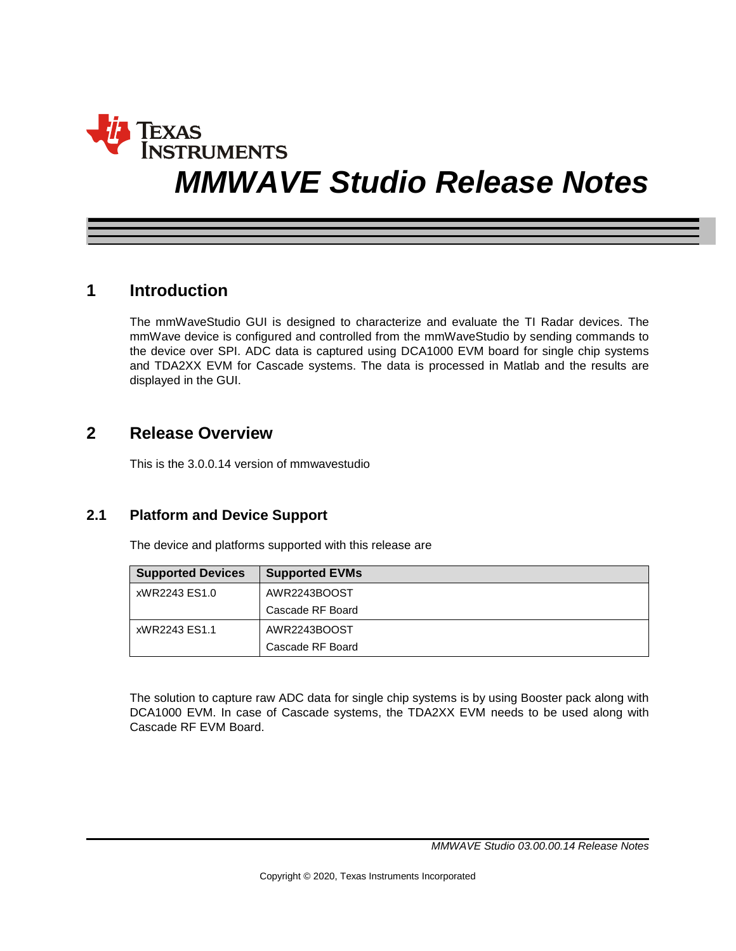# **INSTRUMENTS** *MMWAVE Studio Release Notes*

### **1 Introduction**

The mmWaveStudio GUI is designed to characterize and evaluate the TI Radar devices. The mmWave device is configured and controlled from the mmWaveStudio by sending commands to the device over SPI. ADC data is captured using DCA1000 EVM board for single chip systems and TDA2XX EVM for Cascade systems. The data is processed in Matlab and the results are displayed in the GUI.

## **2 Release Overview**

This is the 3.0.0.14 version of mmwavestudio

#### **2.1 Platform and Device Support**

The device and platforms supported with this release are

| <b>Supported Devices</b> | <b>Supported EVMs</b> |  |
|--------------------------|-----------------------|--|
| xWR2243 ES1.0            | AWR2243BOOST          |  |
|                          | Cascade RF Board      |  |
| xWR2243 ES1.1            | AWR2243BOOST          |  |
|                          | Cascade RF Board      |  |

The solution to capture raw ADC data for single chip systems is by using Booster pack along with DCA1000 EVM. In case of Cascade systems, the TDA2XX EVM needs to be used along with Cascade RF EVM Board.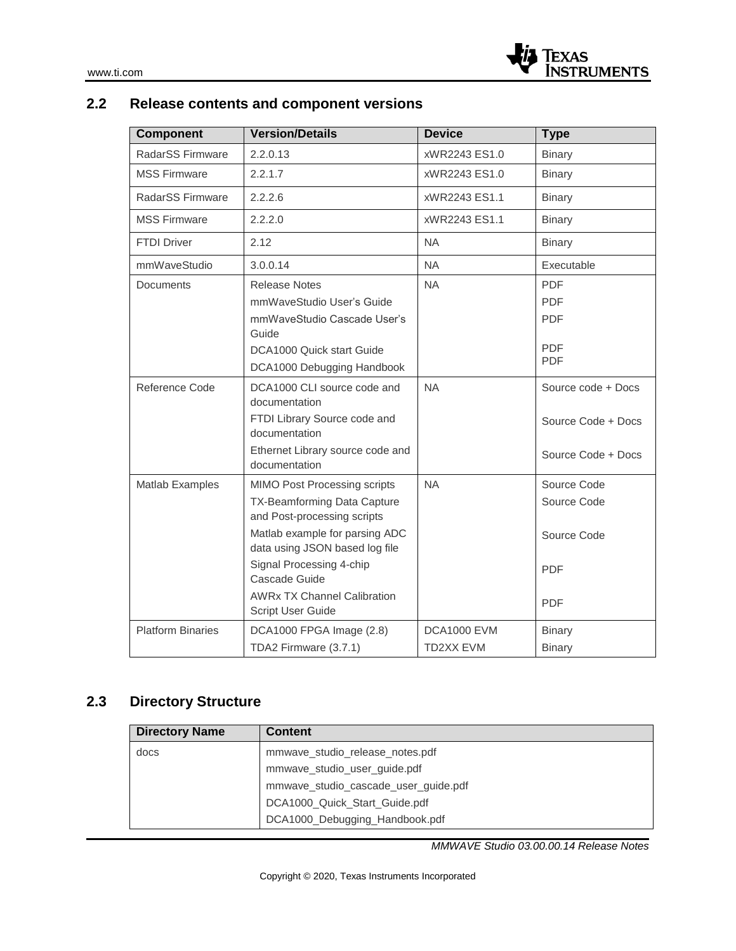## **2.2 Release contents and component versions**

| <b>Component</b>         | <b>Version/Details</b>                                                                                                                                                                                                                                                        | <b>Device</b>                   | <b>Type</b>                                                           |
|--------------------------|-------------------------------------------------------------------------------------------------------------------------------------------------------------------------------------------------------------------------------------------------------------------------------|---------------------------------|-----------------------------------------------------------------------|
| RadarSS Firmware         | 2.2.0.13                                                                                                                                                                                                                                                                      | xWR2243 ES1.0                   | <b>Binary</b>                                                         |
| <b>MSS Firmware</b>      | 2.2.1.7                                                                                                                                                                                                                                                                       | xWR2243 ES1.0                   | <b>Binary</b>                                                         |
| RadarSS Firmware         | 2.2.2.6                                                                                                                                                                                                                                                                       | xWR2243 ES1.1                   | <b>Binary</b>                                                         |
| <b>MSS Firmware</b>      | 2.2.2.0                                                                                                                                                                                                                                                                       | xWR2243 ES1.1                   | <b>Binary</b>                                                         |
| <b>FTDI Driver</b>       | 2.12                                                                                                                                                                                                                                                                          | <b>NA</b>                       | <b>Binary</b>                                                         |
| mmWaveStudio             | 3.0.0.14                                                                                                                                                                                                                                                                      | <b>NA</b>                       | Executable                                                            |
| Documents                | <b>Release Notes</b><br>mmWaveStudio User's Guide<br>mmWaveStudio Cascade User's<br>Guide<br>DCA1000 Quick start Guide<br>DCA1000 Debugging Handbook                                                                                                                          | <b>NA</b>                       | <b>PDF</b><br><b>PDF</b><br><b>PDF</b><br><b>PDF</b><br><b>PDF</b>    |
| Reference Code           | DCA1000 CLI source code and<br>documentation<br>FTDI Library Source code and<br>documentation<br>Ethernet Library source code and<br>documentation                                                                                                                            | <b>NA</b>                       | Source code + Docs<br>Source Code + Docs<br>Source Code + Docs        |
| Matlab Examples          | MIMO Post Processing scripts<br>TX-Beamforming Data Capture<br>and Post-processing scripts<br>Matlab example for parsing ADC<br>data using JSON based log file<br>Signal Processing 4-chip<br>Cascade Guide<br><b>AWRx TX Channel Calibration</b><br><b>Script User Guide</b> | <b>NA</b>                       | Source Code<br>Source Code<br>Source Code<br><b>PDF</b><br><b>PDF</b> |
| <b>Platform Binaries</b> | DCA1000 FPGA Image (2.8)<br>TDA2 Firmware (3.7.1)                                                                                                                                                                                                                             | <b>DCA1000 EVM</b><br>TD2XX EVM | <b>Binary</b><br><b>Binary</b>                                        |

## **2.3 Directory Structure**

| <b>Directory Name</b> | <b>Content</b>                       |
|-----------------------|--------------------------------------|
| docs                  | mmwave_studio_release_notes.pdf      |
|                       | mmwave_studio_user_guide.pdf         |
|                       | mmwave_studio_cascade_user_guide.pdf |
|                       | DCA1000_Quick_Start_Guide.pdf        |
|                       | DCA1000_Debugging_Handbook.pdf       |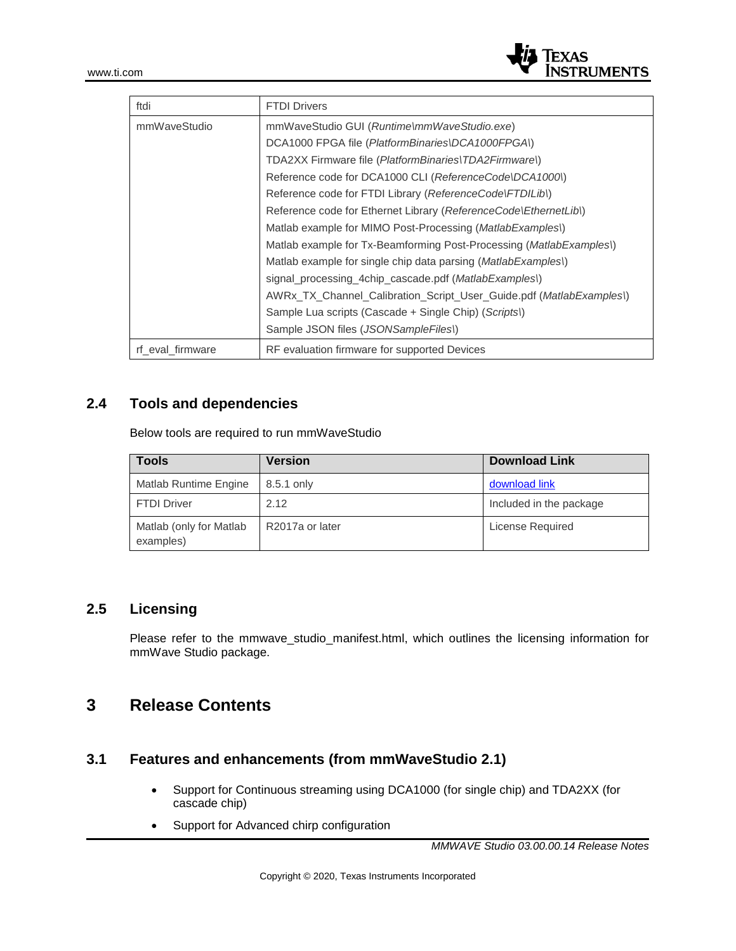

| ftdi             | <b>FTDI Drivers</b>                                                   |
|------------------|-----------------------------------------------------------------------|
| mmWaveStudio     | mmWaveStudio GUI (Runtime\mmWaveStudio.exe)                           |
|                  | DCA1000 FPGA file (PlatformBinaries\DCA1000FPGA\)                     |
|                  | TDA2XX Firmware file (PlatformBinaries\TDA2Firmware\)                 |
|                  | Reference code for DCA1000 CLI (ReferenceCode\DCA1000\)               |
|                  | Reference code for FTDI Library (ReferenceCode\FTDILib\)              |
|                  | Reference code for Ethernet Library (ReferenceCode\EthernetLib\)      |
|                  | Matlab example for MIMO Post-Processing ( <i>MatlabExamples</i> )     |
|                  | Matlab example for Tx-Beamforming Post-Processing (MatlabExamples)    |
|                  | Matlab example for single chip data parsing ( <i>MatlabExamples</i> ) |
|                  | signal processing 4chip cascade.pdf (MatlabExamples)                  |
|                  | AWRx TX Channel Calibration Script User Guide.pdf (MatlabExamples)    |
|                  | Sample Lua scripts (Cascade + Single Chip) (Scripts))                 |
|                  | Sample JSON files (JSONSampleFiles))                                  |
| rf eval firmware | RF evaluation firmware for supported Devices                          |

#### **2.4 Tools and dependencies**

Below tools are required to run mmWaveStudio

| <b>Tools</b>                         | <b>Version</b>  | <b>Download Link</b>    |
|--------------------------------------|-----------------|-------------------------|
| Matlab Runtime Engine                | 8.5.1 only      | download link           |
| <b>FTDI Driver</b>                   | 2.12            | Included in the package |
| Matlab (only for Matlab<br>examples) | R2017a or later | License Required        |

#### **2.5 Licensing**

Please refer to the mmwave\_studio\_manifest.html, which outlines the licensing information for mmWave Studio package.

## **3 Release Contents**

#### **3.1 Features and enhancements (from mmWaveStudio 2.1)**

- Support for Continuous streaming using DCA1000 (for single chip) and TDA2XX (for cascade chip)
- Support for Advanced chirp configuration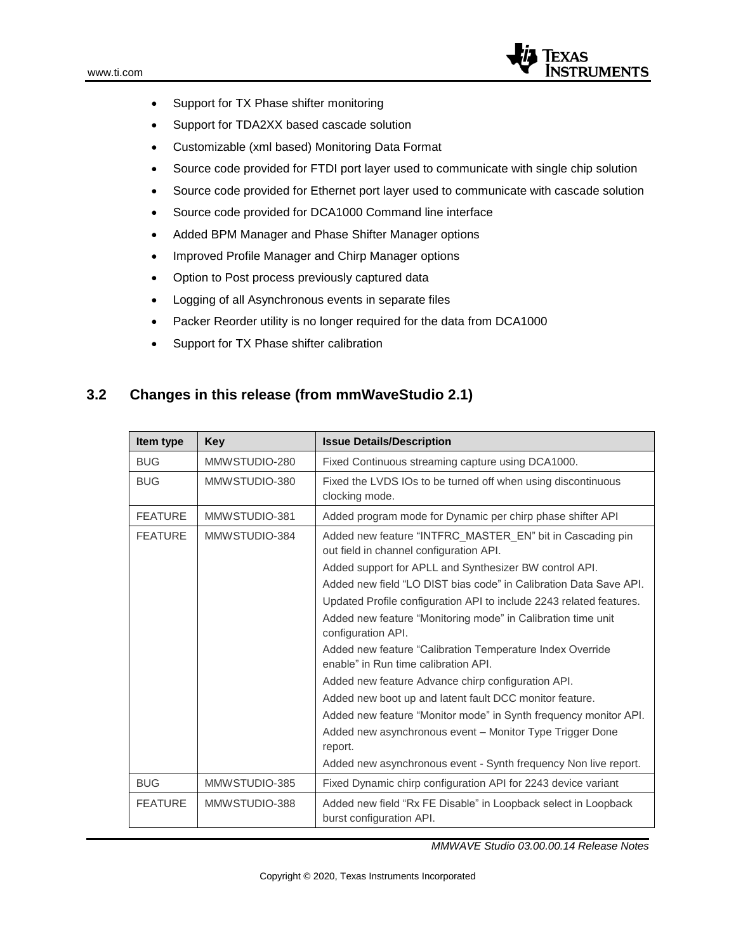

- Support for TX Phase shifter monitoring
- Support for TDA2XX based cascade solution
- Customizable (xml based) Monitoring Data Format
- Source code provided for FTDI port layer used to communicate with single chip solution
- Source code provided for Ethernet port layer used to communicate with cascade solution
- Source code provided for DCA1000 Command line interface
- Added BPM Manager and Phase Shifter Manager options
- Improved Profile Manager and Chirp Manager options
- Option to Post process previously captured data
- Logging of all Asynchronous events in separate files
- Packer Reorder utility is no longer required for the data from DCA1000
- Support for TX Phase shifter calibration

#### **3.2 Changes in this release (from mmWaveStudio 2.1)**

| Item type      | Key           | <b>Issue Details/Description</b>                                                                     |
|----------------|---------------|------------------------------------------------------------------------------------------------------|
| <b>BUG</b>     | MMWSTUDIO-280 | Fixed Continuous streaming capture using DCA1000.                                                    |
| <b>BUG</b>     | MMWSTUDIO-380 | Fixed the LVDS IOs to be turned off when using discontinuous<br>clocking mode.                       |
| <b>FEATURE</b> | MMWSTUDIO-381 | Added program mode for Dynamic per chirp phase shifter API                                           |
| <b>FEATURE</b> | MMWSTUDIO-384 | Added new feature "INTFRC_MASTER_EN" bit in Cascading pin<br>out field in channel configuration API. |
|                |               | Added support for APLL and Synthesizer BW control API.                                               |
|                |               | Added new field "LO DIST bias code" in Calibration Data Save API.                                    |
|                |               | Updated Profile configuration API to include 2243 related features.                                  |
|                |               | Added new feature "Monitoring mode" in Calibration time unit<br>configuration API.                   |
|                |               | Added new feature "Calibration Temperature Index Override<br>enable" in Run time calibration API.    |
|                |               | Added new feature Advance chirp configuration API.                                                   |
|                |               | Added new boot up and latent fault DCC monitor feature.                                              |
|                |               | Added new feature "Monitor mode" in Synth frequency monitor API.                                     |
|                |               | Added new asynchronous event - Monitor Type Trigger Done<br>report.                                  |
|                |               | Added new asynchronous event - Synth frequency Non live report.                                      |
| <b>BUG</b>     | MMWSTUDIO-385 | Fixed Dynamic chirp configuration API for 2243 device variant                                        |
| <b>FEATURE</b> | MMWSTUDIO-388 | Added new field "Rx FE Disable" in Loopback select in Loopback<br>burst configuration API.           |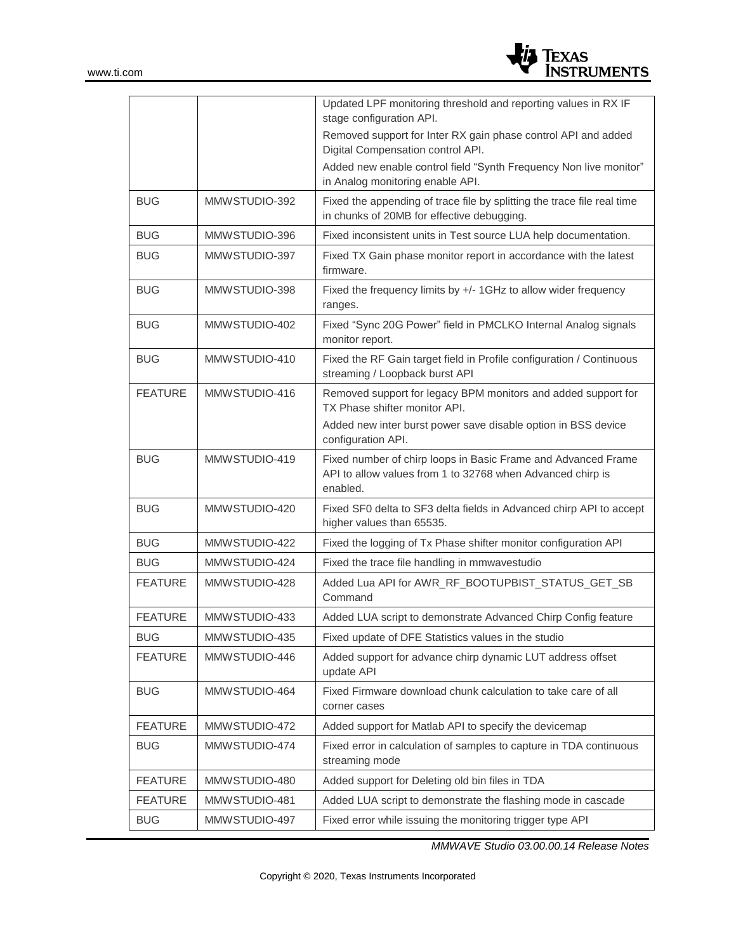

|                |               | Updated LPF monitoring threshold and reporting values in RX IF<br>stage configuration API.                                                                      |
|----------------|---------------|-----------------------------------------------------------------------------------------------------------------------------------------------------------------|
|                |               | Removed support for Inter RX gain phase control API and added<br>Digital Compensation control API.                                                              |
|                |               | Added new enable control field "Synth Frequency Non live monitor"<br>in Analog monitoring enable API.                                                           |
| <b>BUG</b>     | MMWSTUDIO-392 | Fixed the appending of trace file by splitting the trace file real time<br>in chunks of 20MB for effective debugging.                                           |
| <b>BUG</b>     | MMWSTUDIO-396 | Fixed inconsistent units in Test source LUA help documentation.                                                                                                 |
| <b>BUG</b>     | MMWSTUDIO-397 | Fixed TX Gain phase monitor report in accordance with the latest<br>firmware.                                                                                   |
| <b>BUG</b>     | MMWSTUDIO-398 | Fixed the frequency limits by +/- 1GHz to allow wider frequency<br>ranges.                                                                                      |
| <b>BUG</b>     | MMWSTUDIO-402 | Fixed "Sync 20G Power" field in PMCLKO Internal Analog signals<br>monitor report.                                                                               |
| <b>BUG</b>     | MMWSTUDIO-410 | Fixed the RF Gain target field in Profile configuration / Continuous<br>streaming / Loopback burst API                                                          |
| <b>FEATURE</b> | MMWSTUDIO-416 | Removed support for legacy BPM monitors and added support for<br>TX Phase shifter monitor API.<br>Added new inter burst power save disable option in BSS device |
|                |               | configuration API.                                                                                                                                              |
| <b>BUG</b>     | MMWSTUDIO-419 | Fixed number of chirp loops in Basic Frame and Advanced Frame<br>API to allow values from 1 to 32768 when Advanced chirp is<br>enabled.                         |
| <b>BUG</b>     | MMWSTUDIO-420 | Fixed SF0 delta to SF3 delta fields in Advanced chirp API to accept<br>higher values than 65535.                                                                |
| <b>BUG</b>     | MMWSTUDIO-422 | Fixed the logging of Tx Phase shifter monitor configuration API                                                                                                 |
| <b>BUG</b>     | MMWSTUDIO-424 | Fixed the trace file handling in mmwavestudio                                                                                                                   |
| <b>FEATURE</b> | MMWSTUDIO-428 | Added Lua API for AWR_RF_BOOTUPBIST_STATUS_GET_SB<br>Command                                                                                                    |
| <b>FEATURE</b> | MMWSTUDIO-433 | Added LUA script to demonstrate Advanced Chirp Config feature                                                                                                   |
| <b>BUG</b>     | MMWSTUDIO-435 | Fixed update of DFE Statistics values in the studio                                                                                                             |
| <b>FEATURE</b> | MMWSTUDIO-446 | Added support for advance chirp dynamic LUT address offset<br>update API                                                                                        |
| <b>BUG</b>     | MMWSTUDIO-464 | Fixed Firmware download chunk calculation to take care of all<br>corner cases                                                                                   |
| <b>FEATURE</b> | MMWSTUDIO-472 | Added support for Matlab API to specify the devicemap                                                                                                           |
| <b>BUG</b>     | MMWSTUDIO-474 | Fixed error in calculation of samples to capture in TDA continuous<br>streaming mode                                                                            |
| <b>FEATURE</b> | MMWSTUDIO-480 | Added support for Deleting old bin files in TDA                                                                                                                 |
| <b>FEATURE</b> | MMWSTUDIO-481 | Added LUA script to demonstrate the flashing mode in cascade                                                                                                    |
| <b>BUG</b>     | MMWSTUDIO-497 | Fixed error while issuing the monitoring trigger type API                                                                                                       |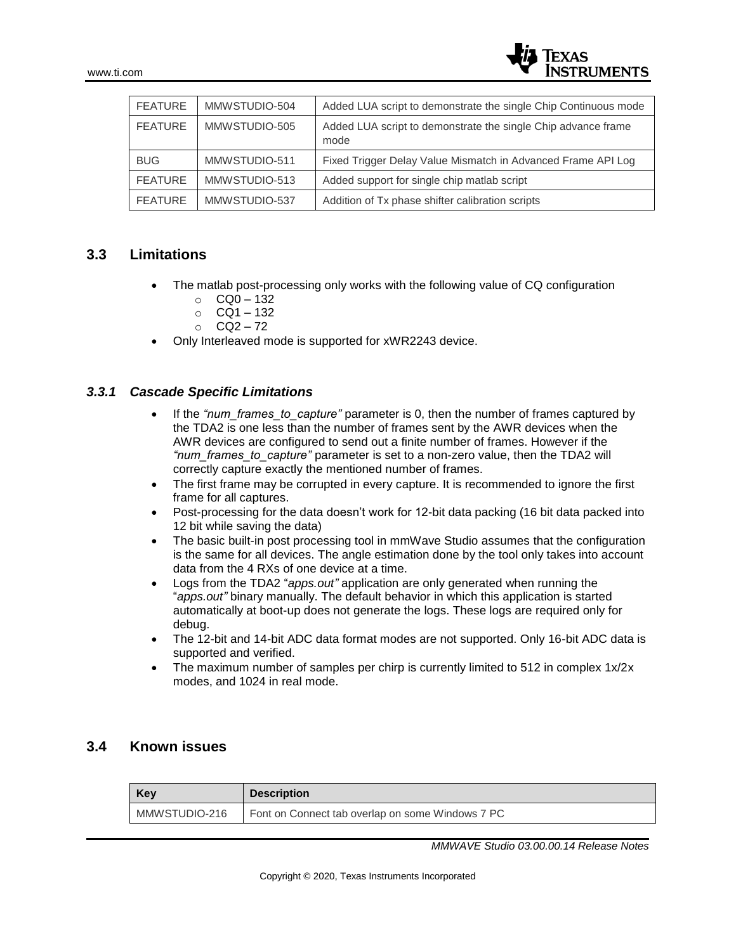| <b>FEATURE</b> | MMWSTUDIO-504 | Added LUA script to demonstrate the single Chip Continuous mode       |
|----------------|---------------|-----------------------------------------------------------------------|
| <b>FEATURE</b> | MMWSTUDIO-505 | Added LUA script to demonstrate the single Chip advance frame<br>mode |
| <b>BUG</b>     | MMWSTUDIO-511 | Fixed Trigger Delay Value Mismatch in Advanced Frame API Log          |
| <b>FEATURE</b> | MMWSTUDIO-513 | Added support for single chip matlab script                           |
| <b>FEATURE</b> | MMWSTUDIO-537 | Addition of Tx phase shifter calibration scripts                      |

#### **3.3 Limitations**

- The matlab post-processing only works with the following value of CQ configuration
	- $O$  CQ0 132
	- o CQ1 132
	- $O$  CO<sub>2</sub> 72
- Only Interleaved mode is supported for xWR2243 device.

#### *3.3.1 Cascade Specific Limitations*

- If the *"num\_frames\_to\_capture"* parameter is 0, then the number of frames captured by the TDA2 is one less than the number of frames sent by the AWR devices when the AWR devices are configured to send out a finite number of frames. However if the *"num\_frames\_to\_capture"* parameter is set to a non-zero value, then the TDA2 will correctly capture exactly the mentioned number of frames.
- The first frame may be corrupted in every capture. It is recommended to ignore the first frame for all captures.
- Post-processing for the data doesn't work for 12-bit data packing (16 bit data packed into 12 bit while saving the data)
- The basic built-in post processing tool in mmWave Studio assumes that the configuration is the same for all devices. The angle estimation done by the tool only takes into account data from the 4 RXs of one device at a time.
- Logs from the TDA2 "*apps.out"* application are only generated when running the "*apps.out"* binary manually. The default behavior in which this application is started automatically at boot-up does not generate the logs. These logs are required only for debug.
- The 12-bit and 14-bit ADC data format modes are not supported. Only 16-bit ADC data is supported and verified.
- The maximum number of samples per chirp is currently limited to 512 in complex 1x/2x modes, and 1024 in real mode.

#### **3.4 Known issues**

| <b>Kev</b>    | <b>Description</b>                               |
|---------------|--------------------------------------------------|
| MMWSTUDIO-216 | Font on Connect tab overlap on some Windows 7 PC |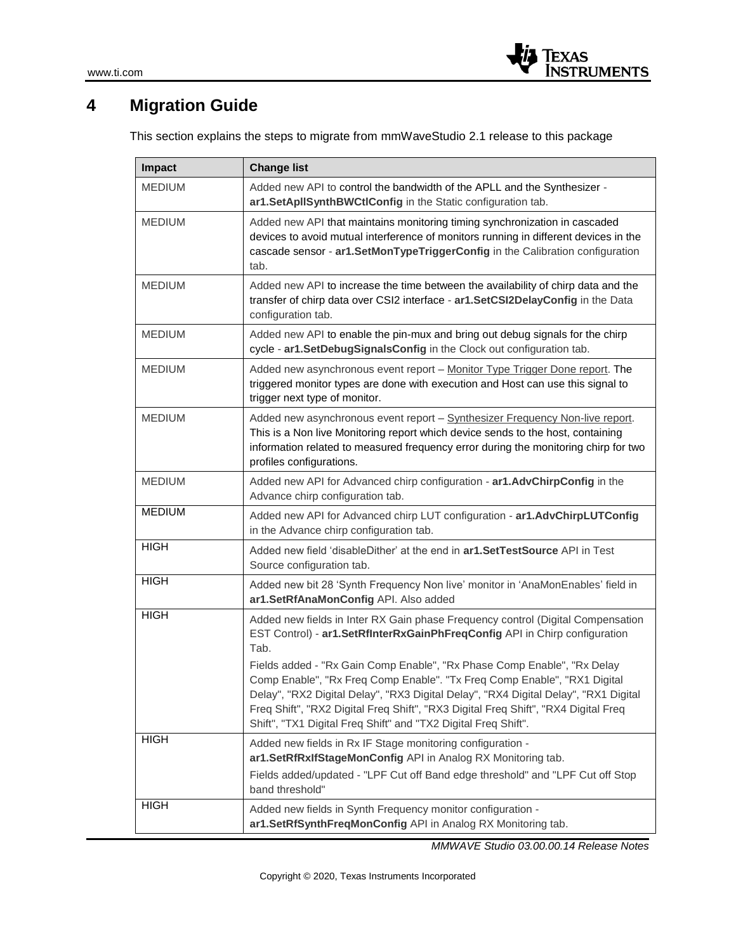

## **4 Migration Guide**

This section explains the steps to migrate from mmWaveStudio 2.1 release to this package

| Impact        | <b>Change list</b>                                                                                                                                                                                                                                                                                                                                                                                                                                                                                                                                                          |
|---------------|-----------------------------------------------------------------------------------------------------------------------------------------------------------------------------------------------------------------------------------------------------------------------------------------------------------------------------------------------------------------------------------------------------------------------------------------------------------------------------------------------------------------------------------------------------------------------------|
| <b>MEDIUM</b> | Added new API to control the bandwidth of the APLL and the Synthesizer -<br>ar1.SetApIISynthBWCtIConfig in the Static configuration tab.                                                                                                                                                                                                                                                                                                                                                                                                                                    |
| <b>MEDIUM</b> | Added new API that maintains monitoring timing synchronization in cascaded<br>devices to avoid mutual interference of monitors running in different devices in the<br>cascade sensor - ar1.SetMonTypeTriggerConfig in the Calibration configuration<br>tab.                                                                                                                                                                                                                                                                                                                 |
| <b>MEDIUM</b> | Added new API to increase the time between the availability of chirp data and the<br>transfer of chirp data over CSI2 interface - ar1.SetCSI2DelayConfig in the Data<br>configuration tab.                                                                                                                                                                                                                                                                                                                                                                                  |
| <b>MEDIUM</b> | Added new API to enable the pin-mux and bring out debug signals for the chirp<br>cycle - ar1.SetDebugSignalsConfig in the Clock out configuration tab.                                                                                                                                                                                                                                                                                                                                                                                                                      |
| <b>MEDIUM</b> | Added new asynchronous event report - Monitor Type Trigger Done report. The<br>triggered monitor types are done with execution and Host can use this signal to<br>trigger next type of monitor.                                                                                                                                                                                                                                                                                                                                                                             |
| <b>MEDIUM</b> | Added new asynchronous event report - Synthesizer Frequency Non-live report.<br>This is a Non live Monitoring report which device sends to the host, containing<br>information related to measured frequency error during the monitoring chirp for two<br>profiles configurations.                                                                                                                                                                                                                                                                                          |
| <b>MEDIUM</b> | Added new API for Advanced chirp configuration - ar1.AdvChirpConfig in the<br>Advance chirp configuration tab.                                                                                                                                                                                                                                                                                                                                                                                                                                                              |
| <b>MEDIUM</b> | Added new API for Advanced chirp LUT configuration - ar1.AdvChirpLUTConfig<br>in the Advance chirp configuration tab.                                                                                                                                                                                                                                                                                                                                                                                                                                                       |
| <b>HIGH</b>   | Added new field 'disableDither' at the end in ar1. SetTestSource API in Test<br>Source configuration tab.                                                                                                                                                                                                                                                                                                                                                                                                                                                                   |
| <b>HIGH</b>   | Added new bit 28 'Synth Frequency Non live' monitor in 'AnaMonEnables' field in<br>ar1.SetRfAnaMonConfig API. Also added                                                                                                                                                                                                                                                                                                                                                                                                                                                    |
| <b>HIGH</b>   | Added new fields in Inter RX Gain phase Frequency control (Digital Compensation<br>EST Control) - ar1.SetRfInterRxGainPhFreqConfig API in Chirp configuration<br>Tab.<br>Fields added - "Rx Gain Comp Enable", "Rx Phase Comp Enable", "Rx Delay<br>Comp Enable", "Rx Freq Comp Enable". "Tx Freq Comp Enable", "RX1 Digital<br>Delay", "RX2 Digital Delay", "RX3 Digital Delay", "RX4 Digital Delay", "RX1 Digital<br>Freq Shift", "RX2 Digital Freq Shift", "RX3 Digital Freq Shift", "RX4 Digital Freq<br>Shift", "TX1 Digital Freq Shift" and "TX2 Digital Freq Shift". |
| <b>HIGH</b>   | Added new fields in Rx IF Stage monitoring configuration -<br>ar1.SetRfRxIfStageMonConfig API in Analog RX Monitoring tab.<br>Fields added/updated - "LPF Cut off Band edge threshold" and "LPF Cut off Stop                                                                                                                                                                                                                                                                                                                                                                |
| <b>HIGH</b>   | band threshold"<br>Added new fields in Synth Frequency monitor configuration -<br>ar1.SetRfSynthFreqMonConfig API in Analog RX Monitoring tab.                                                                                                                                                                                                                                                                                                                                                                                                                              |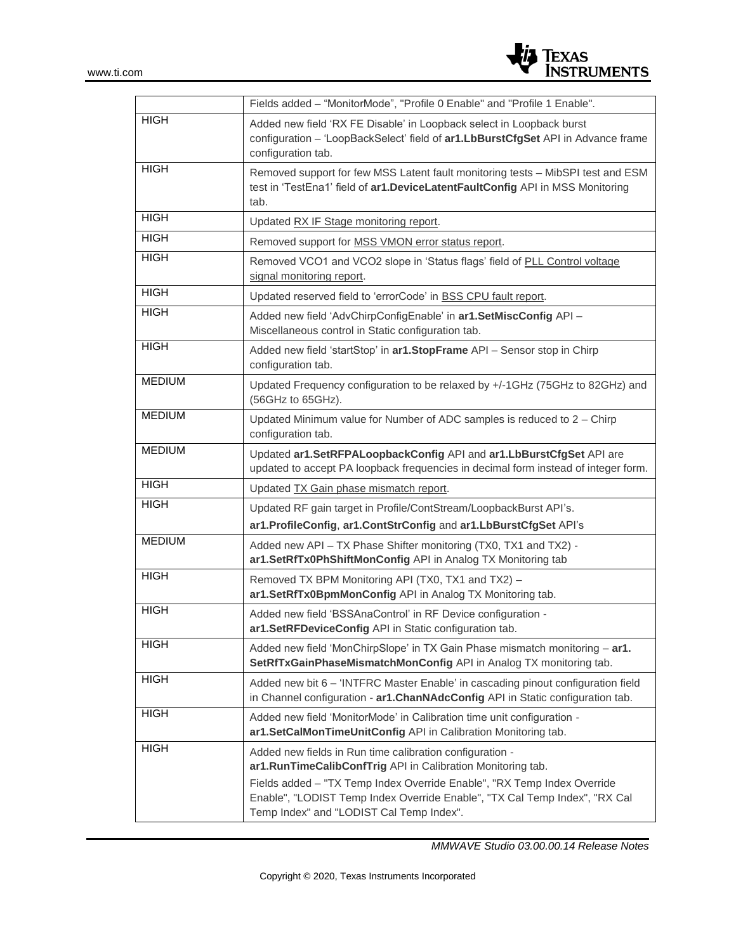

|               | Fields added - "MonitorMode", "Profile 0 Enable" and "Profile 1 Enable".                                                                                                                                                                                                                                                     |
|---------------|------------------------------------------------------------------------------------------------------------------------------------------------------------------------------------------------------------------------------------------------------------------------------------------------------------------------------|
| <b>HIGH</b>   | Added new field 'RX FE Disable' in Loopback select in Loopback burst<br>configuration - 'LoopBackSelect' field of ar1.LbBurstCfgSet API in Advance frame<br>configuration tab.                                                                                                                                               |
| <b>HIGH</b>   | Removed support for few MSS Latent fault monitoring tests - MibSPI test and ESM<br>test in 'TestEna1' field of ar1.DeviceLatentFaultConfig API in MSS Monitoring<br>tab.                                                                                                                                                     |
| <b>HIGH</b>   | Updated RX IF Stage monitoring report.                                                                                                                                                                                                                                                                                       |
| <b>HIGH</b>   | Removed support for MSS VMON error status report.                                                                                                                                                                                                                                                                            |
| <b>HIGH</b>   | Removed VCO1 and VCO2 slope in 'Status flags' field of PLL Control voltage<br>signal monitoring report.                                                                                                                                                                                                                      |
| <b>HIGH</b>   | Updated reserved field to 'errorCode' in BSS CPU fault report.                                                                                                                                                                                                                                                               |
| <b>HIGH</b>   | Added new field 'AdvChirpConfigEnable' in ar1.SetMiscConfig API -<br>Miscellaneous control in Static configuration tab.                                                                                                                                                                                                      |
| <b>HIGH</b>   | Added new field 'startStop' in ar1.StopFrame API - Sensor stop in Chirp<br>configuration tab.                                                                                                                                                                                                                                |
| <b>MEDIUM</b> | Updated Frequency configuration to be relaxed by +/-1GHz (75GHz to 82GHz) and<br>(56GHz to 65GHz).                                                                                                                                                                                                                           |
| <b>MEDIUM</b> | Updated Minimum value for Number of ADC samples is reduced to 2 - Chirp<br>configuration tab.                                                                                                                                                                                                                                |
| <b>MEDIUM</b> | Updated ar1.SetRFPALoopbackConfig API and ar1.LbBurstCfgSet API are<br>updated to accept PA loopback frequencies in decimal form instead of integer form.                                                                                                                                                                    |
| <b>HIGH</b>   | Updated TX Gain phase mismatch report.                                                                                                                                                                                                                                                                                       |
| <b>HIGH</b>   | Updated RF gain target in Profile/ContStream/LoopbackBurst API's.                                                                                                                                                                                                                                                            |
|               | ar1.ProfileConfig, ar1.ContStrConfig and ar1.LbBurstCfgSet API's                                                                                                                                                                                                                                                             |
| <b>MEDIUM</b> | Added new API - TX Phase Shifter monitoring (TX0, TX1 and TX2) -<br>ar1.SetRfTx0PhShiftMonConfig API in Analog TX Monitoring tab                                                                                                                                                                                             |
| <b>HIGH</b>   | Removed TX BPM Monitoring API (TX0, TX1 and TX2) -<br>ar1.SetRfTx0BpmMonConfig API in Analog TX Monitoring tab.                                                                                                                                                                                                              |
| <b>HIGH</b>   | Added new field 'BSSAnaControl' in RF Device configuration -<br>ar1.SetRFDeviceConfig API in Static configuration tab.                                                                                                                                                                                                       |
| <b>HIGH</b>   | Added new field 'MonChirpSlope' in TX Gain Phase mismatch monitoring - ar1.<br>SetRfTxGainPhaseMismatchMonConfig API in Analog TX monitoring tab.                                                                                                                                                                            |
| <b>HIGH</b>   | Added new bit 6 - 'INTFRC Master Enable' in cascading pinout configuration field<br>in Channel configuration - ar1. ChanNAdcConfig API in Static configuration tab.                                                                                                                                                          |
| <b>HIGH</b>   | Added new field 'MonitorMode' in Calibration time unit configuration -<br>ar1.SetCalMonTimeUnitConfig API in Calibration Monitoring tab.                                                                                                                                                                                     |
| <b>HIGH</b>   | Added new fields in Run time calibration configuration -<br>ar1.RunTimeCalibConfTrig API in Calibration Monitoring tab.<br>Fields added - "TX Temp Index Override Enable", "RX Temp Index Override<br>Enable", "LODIST Temp Index Override Enable", "TX Cal Temp Index", "RX Cal<br>Temp Index" and "LODIST Cal Temp Index". |